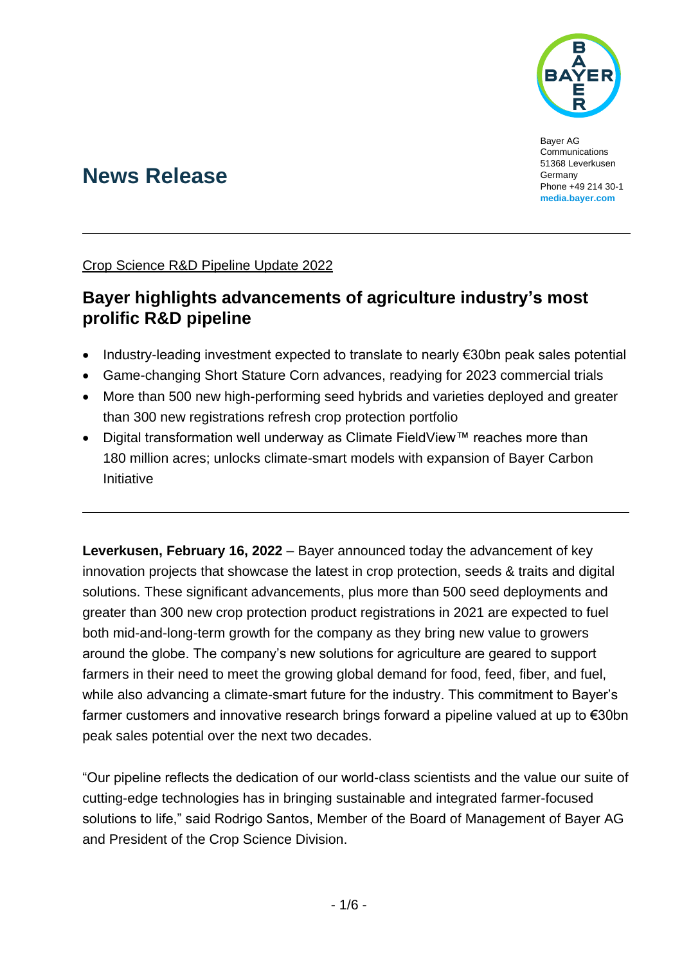

Bayer AG Communications 51368 Leverkusen Germany Phone +49 214 30-1 **[media.bayer.com](http://media.bayer.com/)**

# **News Release**

Crop Science R&D Pipeline Update 2022

# **Bayer highlights advancements of agriculture industry's most prolific R&D pipeline**

- Industry-leading investment expected to translate to nearly €30bn peak sales potential
- Game-changing Short Stature Corn advances, readying for 2023 commercial trials
- More than 500 new high-performing seed hybrids and varieties deployed and greater than 300 new registrations refresh crop protection portfolio
- Digital transformation well underway as Climate FieldView™ reaches more than 180 million acres; unlocks climate-smart models with expansion of Bayer Carbon Initiative

**Leverkusen, February 16, 2022** – Bayer announced today the advancement of key innovation projects that showcase the latest in crop protection, seeds & traits and digital solutions. These significant advancements, plus more than 500 seed deployments and greater than 300 new crop protection product registrations in 2021 are expected to fuel both mid-and-long-term growth for the company as they bring new value to growers around the globe. The company's new solutions for agriculture are geared to support farmers in their need to meet the growing global demand for food, feed, fiber, and fuel, while also advancing a climate-smart future for the industry. This commitment to Bayer's farmer customers and innovative research brings forward a pipeline valued at up to €30bn peak sales potential over the next two decades.

"Our pipeline reflects the dedication of our world-class scientists and the value our suite of cutting-edge technologies has in bringing sustainable and integrated farmer-focused solutions to life," said Rodrigo Santos, Member of the Board of Management of Bayer AG and President of the Crop Science Division.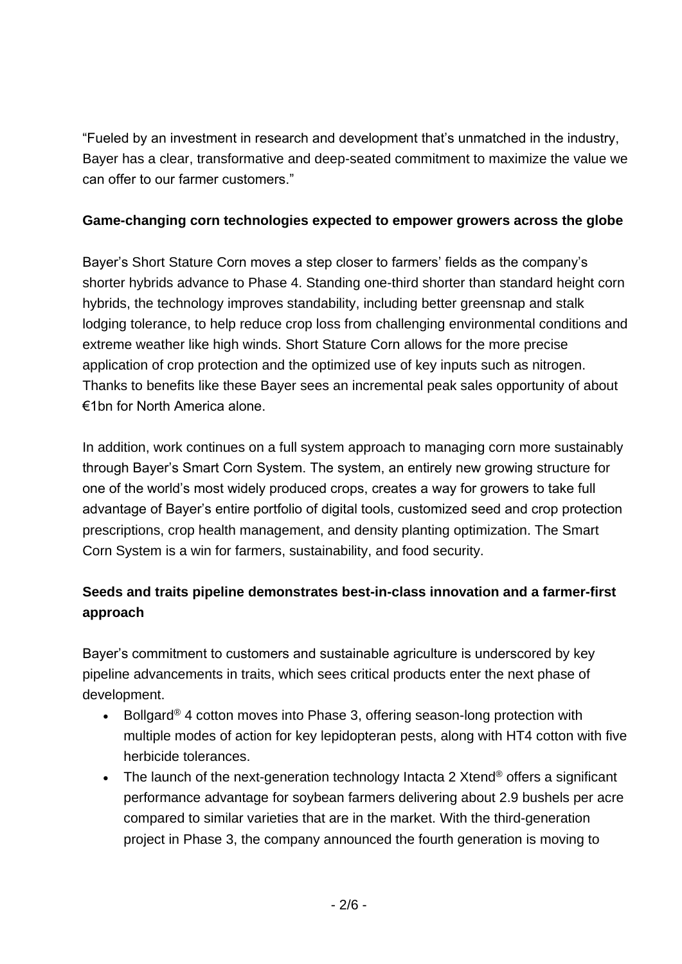"Fueled by an investment in research and development that's unmatched in the industry, Bayer has a clear, transformative and deep-seated commitment to maximize the value we can offer to our farmer customers."

### **Game-changing corn technologies expected to empower growers across the globe**

Bayer's Short Stature Corn moves a step closer to farmers' fields as the company's shorter hybrids advance to Phase 4. Standing one-third shorter than standard height corn hybrids, the technology improves standability, including better greensnap and stalk lodging tolerance, to help reduce crop loss from challenging environmental conditions and extreme weather like high winds. Short Stature Corn allows for the more precise application of crop protection and the optimized use of key inputs such as nitrogen. Thanks to benefits like these Bayer sees an incremental peak sales opportunity of about €1bn for North America alone.

In addition, work continues on a full system approach to managing corn more sustainably through Bayer's Smart Corn System. The system, an entirely new growing structure for one of the world's most widely produced crops, creates a way for growers to take full advantage of Bayer's entire portfolio of digital tools, customized seed and crop protection prescriptions, crop health management, and density planting optimization. The Smart Corn System is a win for farmers, sustainability, and food security.

# **Seeds and traits pipeline demonstrates best-in-class innovation and a farmer-first approach**

Bayer's commitment to customers and sustainable agriculture is underscored by key pipeline advancements in traits, which sees critical products enter the next phase of development.

- Bollgard<sup>®</sup> 4 cotton moves into Phase 3, offering season-long protection with multiple modes of action for key lepidopteran pests, along with HT4 cotton with five herbicide tolerances.
- The launch of the next-generation technology Intacta 2 Xtend<sup>®</sup> offers a significant performance advantage for soybean farmers delivering about 2.9 bushels per acre compared to similar varieties that are in the market. With the third-generation project in Phase 3, the company announced the fourth generation is moving to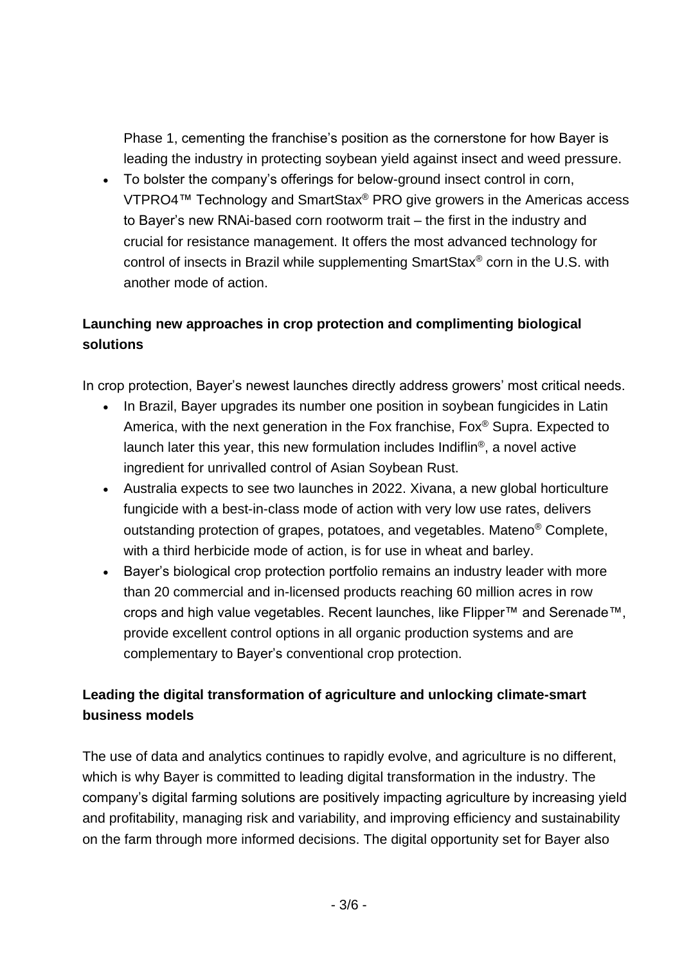Phase 1, cementing the franchise's position as the cornerstone for how Bayer is leading the industry in protecting soybean yield against insect and weed pressure.

• To bolster the company's offerings for below-ground insect control in corn, VTPRO4™ Technology and SmartStax® PRO give growers in the Americas access to Bayer's new RNAi-based corn rootworm trait – the first in the industry and crucial for resistance management. It offers the most advanced technology for control of insects in Brazil while supplementing SmartStax® corn in the U.S. with another mode of action.

# **Launching new approaches in crop protection and complimenting biological solutions**

In crop protection, Bayer's newest launches directly address growers' most critical needs.

- In Brazil, Bayer upgrades its number one position in soybean fungicides in Latin America, with the next generation in the Fox franchise, Fox® Supra. Expected to launch later this year, this new formulation includes Indiflin®, a novel active ingredient for unrivalled control of Asian Soybean Rust.
- Australia expects to see two launches in 2022. Xivana, a new global horticulture fungicide with a best-in-class mode of action with very low use rates, delivers outstanding protection of grapes, potatoes, and vegetables. Mateno® Complete, with a third herbicide mode of action, is for use in wheat and barley.
- Bayer's biological crop protection portfolio remains an industry leader with more than 20 commercial and in-licensed products reaching 60 million acres in row crops and high value vegetables. Recent launches, like Flipper™ and Serenade™, provide excellent control options in all organic production systems and are complementary to Bayer's conventional crop protection.

## **Leading the digital transformation of agriculture and unlocking climate-smart business models**

The use of data and analytics continues to rapidly evolve, and agriculture is no different, which is why Bayer is committed to leading digital transformation in the industry. The company's digital farming solutions are positively impacting agriculture by increasing yield and profitability, managing risk and variability, and improving efficiency and sustainability on the farm through more informed decisions. The digital opportunity set for Bayer also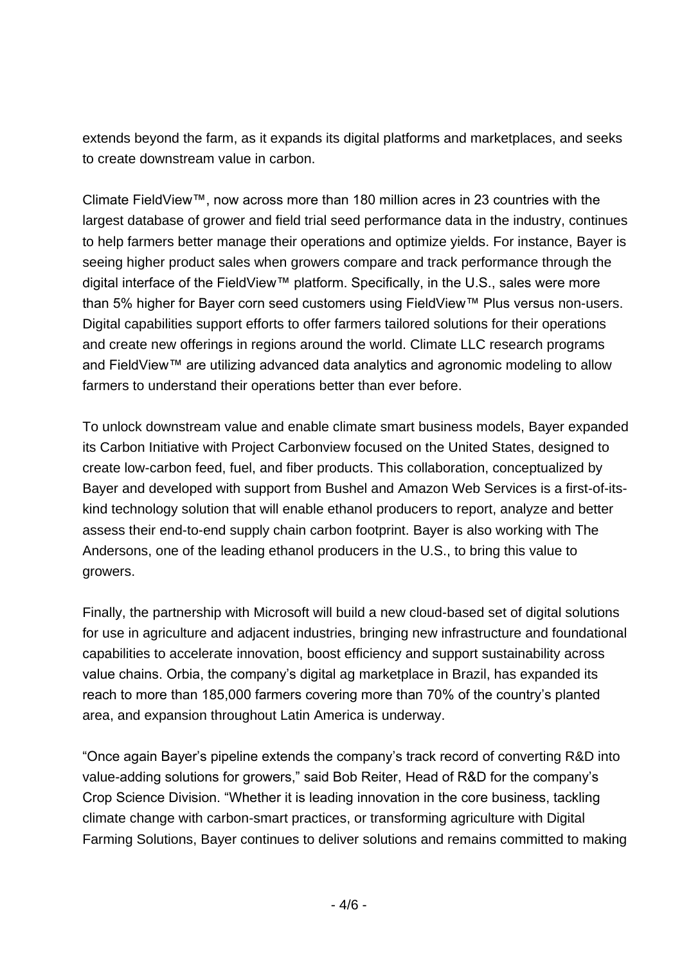extends beyond the farm, as it expands its digital platforms and marketplaces, and seeks to create downstream value in carbon.

Climate FieldView™, now across more than 180 million acres in 23 countries with the largest database of grower and field trial seed performance data in the industry, continues to help farmers better manage their operations and optimize yields. For instance, Bayer is seeing higher product sales when growers compare and track performance through the digital interface of the FieldView™ platform. Specifically, in the U.S., sales were more than 5% higher for Bayer corn seed customers using FieldView™ Plus versus non-users. Digital capabilities support efforts to offer farmers tailored solutions for their operations and create new offerings in regions around the world. Climate LLC research programs and FieldView™ are utilizing advanced data analytics and agronomic modeling to allow farmers to understand their operations better than ever before.

To unlock downstream value and enable climate smart business models, Bayer expanded its Carbon Initiative with Project Carbonview focused on the United States, designed to create low-carbon feed, fuel, and fiber products. This collaboration, conceptualized by Bayer and developed with support from Bushel and Amazon Web Services is a first-of-itskind technology solution that will enable ethanol producers to report, analyze and better assess their end-to-end supply chain carbon footprint. Bayer is also working with The Andersons, one of the leading ethanol producers in the U.S., to bring this value to growers.

Finally, the partnership with Microsoft will build a new cloud-based set of digital solutions for use in agriculture and adjacent industries, bringing new infrastructure and foundational capabilities to accelerate innovation, boost efficiency and support sustainability across value chains. Orbia, the company's digital ag marketplace in Brazil, has expanded its reach to more than 185,000 farmers covering more than 70% of the country's planted area, and expansion throughout Latin America is underway.

"Once again Bayer's pipeline extends the company's track record of converting R&D into value-adding solutions for growers," said Bob Reiter, Head of R&D for the company's Crop Science Division. "Whether it is leading innovation in the core business, tackling climate change with carbon-smart practices, or transforming agriculture with Digital Farming Solutions, Bayer continues to deliver solutions and remains committed to making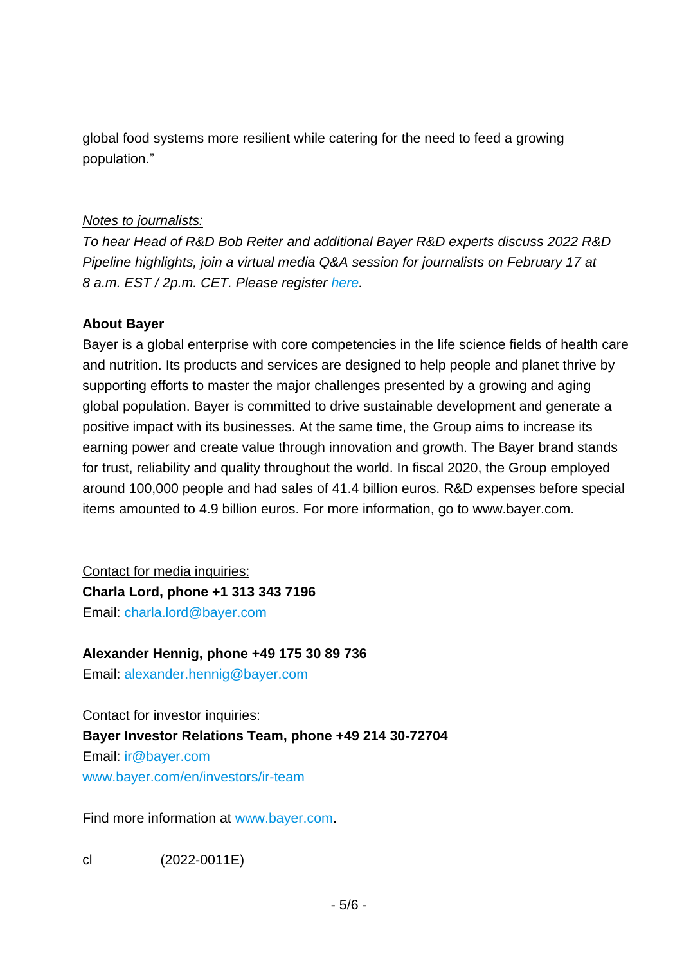global food systems more resilient while catering for the need to feed a growing population."

#### *Notes to journalists:*

*To hear Head of R&D Bob Reiter and additional Bayer R&D experts discuss 2022 R&D Pipeline highlights, join a virtual media Q&A session for journalists on February 17 at 8 a.m. EST / 2p.m. CET. Please register [here.](https://web.cvent.com/event/aa072cf3-e875-4518-ab5d-1c9a26a7fa1a/websitePage:f7c9dffa-8cb5-46ae-8959-b5ed148ce4b7?locale=en-US&tm=Q2QkAMotClCvTnCozBXOomUierHDHwxDE8SMUooUN-w)*

#### **About Bayer**

Bayer is a global enterprise with core competencies in the life science fields of health care and nutrition. Its products and services are designed to help people and planet thrive by supporting efforts to master the major challenges presented by a growing and aging global population. Bayer is committed to drive sustainable development and generate a positive impact with its businesses. At the same time, the Group aims to increase its earning power and create value through innovation and growth. The Bayer brand stands for trust, reliability and quality throughout the world. In fiscal 2020, the Group employed around 100,000 people and had sales of 41.4 billion euros. R&D expenses before special items amounted to 4.9 billion euros. For more information, go to [www.bayer.com.](http://www.bayer.com/)

Contact for media inquiries: **Charla Lord, phone +1 313 343 7196** Email: [charla.lord@bayer.com](mailto:charla.lord@bayer.com)

### **Alexander Hennig, phone +49 175 30 89 736**

Email: [alexander.hennig@bayer.com](mailto:alexander.hennig@bayer.com)

Contact for investor inquiries: **Bayer Investor Relations Team, phone +49 214 30-72704** Email: [ir@bayer.com](mailto:ir@bayer.com) [www.bayer.com/en/investors/ir-team](https://www.bayer.com/en/investors/ir-team)

Find more information at [www.bayer.com.](http://www.bayer.com/)

cl (2022-0011E)